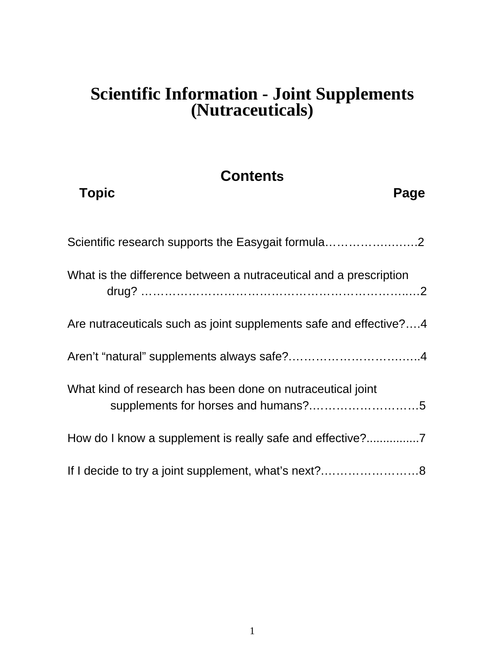# **Scientific Information - Joint Supplements (Nutraceuticals)**

# **Contents**

| <b>Topic</b><br>Page                                                                              |
|---------------------------------------------------------------------------------------------------|
| Scientific research supports the Easygait formula2                                                |
| What is the difference between a nutraceutical and a prescription                                 |
| Are nutraceuticals such as joint supplements safe and effective?4                                 |
|                                                                                                   |
| What kind of research has been done on nutraceutical joint<br>supplements for horses and humans?5 |
|                                                                                                   |
|                                                                                                   |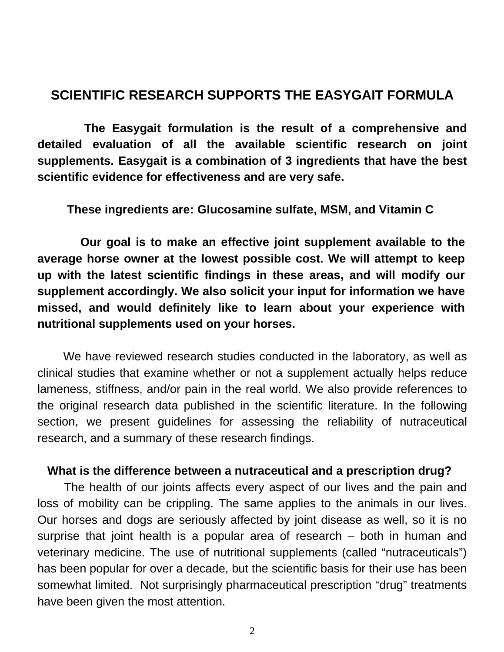## **SCIENTIFIC RESEARCH SUPPORTS THE EASYGAIT FORMULA**

 **The Easygait formulation is the result of a comprehensive and detailed evaluation of all the available scientific research on joint supplements. Easygait is a combination of 3 ingredients that have the best scientific evidence for effectiveness and are very safe.**

**These ingredients are: Glucosamine sulfate, MSM, and Vitamin C** 

 **Our goal is to make an effective joint supplement available to the average horse owner at the lowest possible cost. We will attempt to keep up with the latest scientific findings in these areas, and will modify our supplement accordingly. We also solicit your input for information we have missed, and would definitely like to learn about your experience with nutritional supplements used on your horses.** 

 We have reviewed research studies conducted in the laboratory, as well as clinical studies that examine whether or not a supplement actually helps reduce lameness, stiffness, and/or pain in the real world. We also provide references to the original research data published in the scientific literature. In the following section, we present guidelines for assessing the reliability of nutraceutical research, and a summary of these research findings.

#### **What is the difference between a nutraceutical and a prescription drug?**

The health of our joints affects every aspect of our lives and the pain and loss of mobility can be crippling. The same applies to the animals in our lives. Our horses and dogs are seriously affected by joint disease as well, so it is no surprise that joint health is a popular area of research – both in human and veterinary medicine. The use of nutritional supplements (called "nutraceuticals") has been popular for over a decade, but the scientific basis for their use has been somewhat limited. Not surprisingly pharmaceutical prescription "drug" treatments have been given the most attention.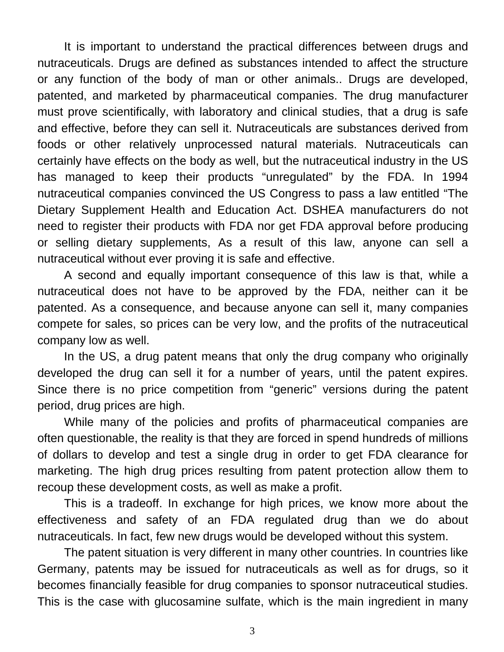It is important to understand the practical differences between drugs and nutraceuticals. Drugs are defined as substances intended to affect the structure or any function of the body of man or other animals.. Drugs are developed, patented, and marketed by pharmaceutical companies. The drug manufacturer must prove scientifically, with laboratory and clinical studies, that a drug is safe and effective, before they can sell it. Nutraceuticals are substances derived from foods or other relatively unprocessed natural materials. Nutraceuticals can certainly have effects on the body as well, but the nutraceutical industry in the US has managed to keep their products "unregulated" by the FDA. In 1994 nutraceutical companies convinced the US Congress to pass a law entitled "The Dietary Supplement Health and Education Act. DSHEA manufacturers do not need to register their products with FDA nor get FDA approval before producing or selling dietary supplements, As a result of this law, anyone can sell a nutraceutical without ever proving it is safe and effective.

A second and equally important consequence of this law is that, while a nutraceutical does not have to be approved by the FDA, neither can it be patented. As a consequence, and because anyone can sell it, many companies compete for sales, so prices can be very low, and the profits of the nutraceutical company low as well.

In the US, a drug patent means that only the drug company who originally developed the drug can sell it for a number of years, until the patent expires. Since there is no price competition from "generic" versions during the patent period, drug prices are high.

While many of the policies and profits of pharmaceutical companies are often questionable, the reality is that they are forced in spend hundreds of millions of dollars to develop and test a single drug in order to get FDA clearance for marketing. The high drug prices resulting from patent protection allow them to recoup these development costs, as well as make a profit.

This is a tradeoff. In exchange for high prices, we know more about the effectiveness and safety of an FDA regulated drug than we do about nutraceuticals. In fact, few new drugs would be developed without this system.

The patent situation is very different in many other countries. In countries like Germany, patents may be issued for nutraceuticals as well as for drugs, so it becomes financially feasible for drug companies to sponsor nutraceutical studies. This is the case with glucosamine sulfate, which is the main ingredient in many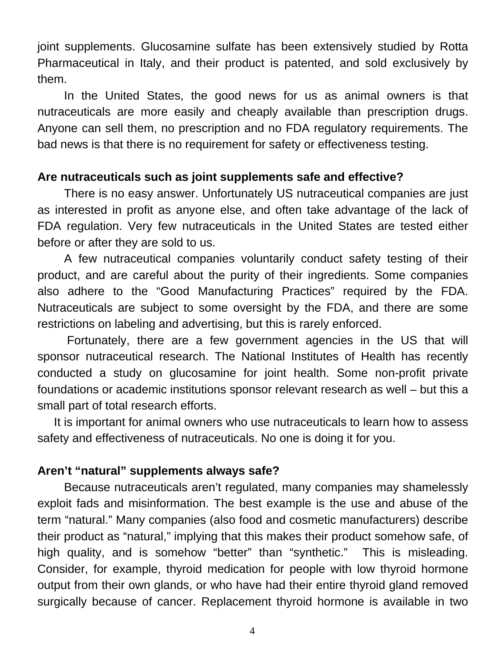joint supplements. Glucosamine sulfate has been extensively studied by Rotta Pharmaceutical in Italy, and their product is patented, and sold exclusively by them.

 In the United States, the good news for us as animal owners is that nutraceuticals are more easily and cheaply available than prescription drugs. Anyone can sell them, no prescription and no FDA regulatory requirements. The bad news is that there is no requirement for safety or effectiveness testing.

### **Are nutraceuticals such as joint supplements safe and effective?**

 There is no easy answer. Unfortunately US nutraceutical companies are just as interested in profit as anyone else, and often take advantage of the lack of FDA regulation. Very few nutraceuticals in the United States are tested either before or after they are sold to us.

A few nutraceutical companies voluntarily conduct safety testing of their product, and are careful about the purity of their ingredients. Some companies also adhere to the "Good Manufacturing Practices" required by the FDA. Nutraceuticals are subject to some oversight by the FDA, and there are some restrictions on labeling and advertising, but this is rarely enforced.

 Fortunately, there are a few government agencies in the US that will sponsor nutraceutical research. The National Institutes of Health has recently conducted a study on glucosamine for joint health. Some non-profit private foundations or academic institutions sponsor relevant research as well – but this a small part of total research efforts.

 It is important for animal owners who use nutraceuticals to learn how to assess safety and effectiveness of nutraceuticals. No one is doing it for you.

## **Aren't "natural" supplements always safe?**

 Because nutraceuticals aren't regulated, many companies may shamelessly exploit fads and misinformation. The best example is the use and abuse of the term "natural." Many companies (also food and cosmetic manufacturers) describe their product as "natural," implying that this makes their product somehow safe, of high quality, and is somehow "better" than "synthetic." This is misleading. Consider, for example, thyroid medication for people with low thyroid hormone output from their own glands, or who have had their entire thyroid gland removed surgically because of cancer. Replacement thyroid hormone is available in two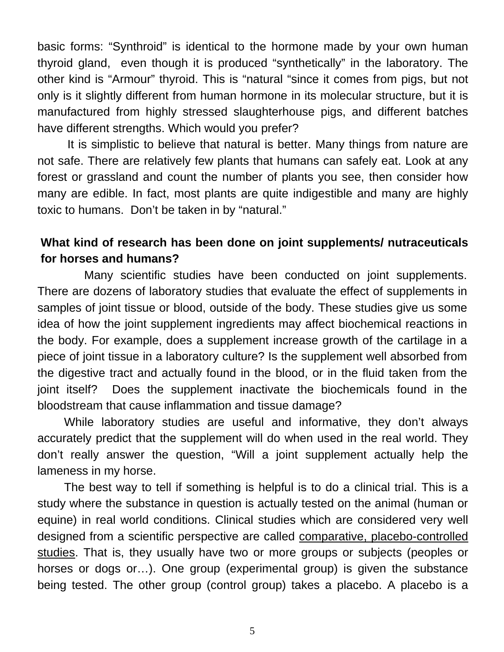basic forms: "Synthroid" is identical to the hormone made by your own human thyroid gland, even though it is produced "synthetically" in the laboratory. The other kind is "Armour" thyroid. This is "natural "since it comes from pigs, but not only is it slightly different from human hormone in its molecular structure, but it is manufactured from highly stressed slaughterhouse pigs, and different batches have different strengths. Which would you prefer?

 It is simplistic to believe that natural is better. Many things from nature are not safe. There are relatively few plants that humans can safely eat. Look at any forest or grassland and count the number of plants you see, then consider how many are edible. In fact, most plants are quite indigestible and many are highly toxic to humans. Don't be taken in by "natural."

## **What kind of research has been done on joint supplements/ nutraceuticals for horses and humans?**

 Many scientific studies have been conducted on joint supplements. There are dozens of laboratory studies that evaluate the effect of supplements in samples of joint tissue or blood, outside of the body. These studies give us some idea of how the joint supplement ingredients may affect biochemical reactions in the body. For example, does a supplement increase growth of the cartilage in a piece of joint tissue in a laboratory culture? Is the supplement well absorbed from the digestive tract and actually found in the blood, or in the fluid taken from the joint itself? Does the supplement inactivate the biochemicals found in the bloodstream that cause inflammation and tissue damage?

 While laboratory studies are useful and informative, they don't always accurately predict that the supplement will do when used in the real world. They don't really answer the question, "Will a joint supplement actually help the lameness in my horse.

 The best way to tell if something is helpful is to do a clinical trial. This is a study where the substance in question is actually tested on the animal (human or equine) in real world conditions. Clinical studies which are considered very well designed from a scientific perspective are called comparative, placebo-controlled studies. That is, they usually have two or more groups or subjects (peoples or horses or dogs or…). One group (experimental group) is given the substance being tested. The other group (control group) takes a placebo. A placebo is a

5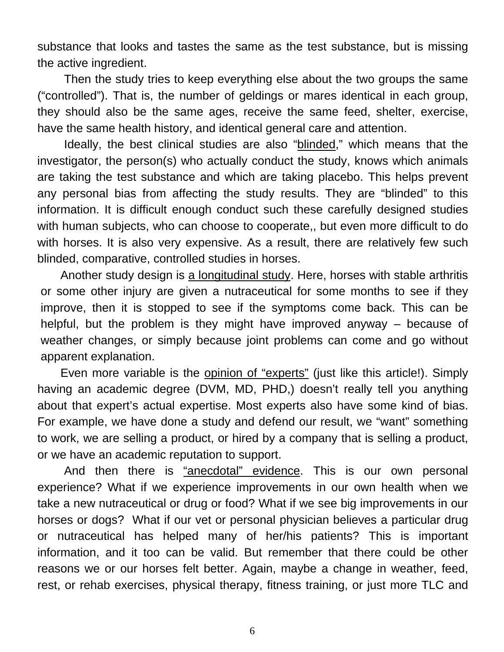substance that looks and tastes the same as the test substance, but is missing the active ingredient.

 Then the study tries to keep everything else about the two groups the same ("controlled"). That is, the number of geldings or mares identical in each group, they should also be the same ages, receive the same feed, shelter, exercise, have the same health history, and identical general care and attention.

 Ideally, the best clinical studies are also "blinded," which means that the investigator, the person(s) who actually conduct the study, knows which animals are taking the test substance and which are taking placebo. This helps prevent any personal bias from affecting the study results. They are "blinded" to this information. It is difficult enough conduct such these carefully designed studies with human subjects, who can choose to cooperate,, but even more difficult to do with horses. It is also very expensive. As a result, there are relatively few such blinded, comparative, controlled studies in horses.

Another study design is a longitudinal study. Here, horses with stable arthritis or some other injury are given a nutraceutical for some months to see if they improve, then it is stopped to see if the symptoms come back. This can be helpful, but the problem is they might have improved anyway – because of weather changes, or simply because joint problems can come and go without apparent explanation.

 Even more variable is the opinion of "experts" (just like this article!). Simply having an academic degree (DVM, MD, PHD,) doesn't really tell you anything about that expert's actual expertise. Most experts also have some kind of bias. For example, we have done a study and defend our result, we "want" something to work, we are selling a product, or hired by a company that is selling a product, or we have an academic reputation to support.

And then there is "anecdotal" evidence. This is our own personal experience? What if we experience improvements in our own health when we take a new nutraceutical or drug or food? What if we see big improvements in our horses or dogs? What if our vet or personal physician believes a particular drug or nutraceutical has helped many of her/his patients? This is important information, and it too can be valid. But remember that there could be other reasons we or our horses felt better. Again, maybe a change in weather, feed, rest, or rehab exercises, physical therapy, fitness training, or just more TLC and

6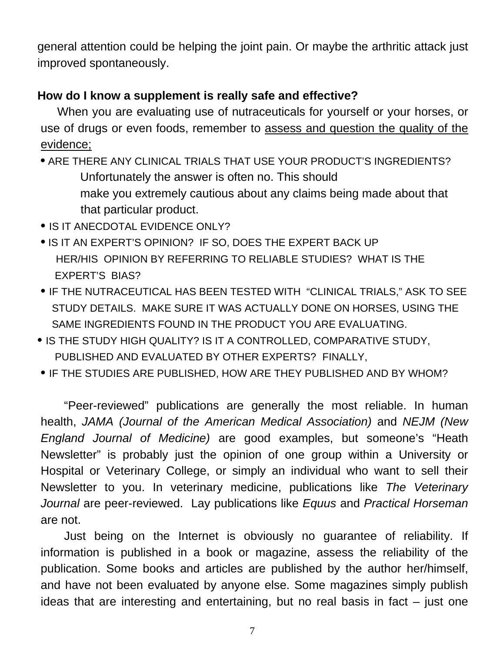general attention could be helping the joint pain. Or maybe the arthritic attack just improved spontaneously.

## **How do I know a supplement is really safe and effective?**

 When you are evaluating use of nutraceuticals for yourself or your horses, or use of drugs or even foods, remember to assess and question the quality of the evidence;

 **•** ARE THERE ANY CLINICAL TRIALS THAT USE YOUR PRODUCT'S INGREDIENTS? Unfortunately the answer is often no. This should make you extremely cautious about any claims being made about that that particular product.

- IS IT ANECDOTAL EVIDENCE ONLY?
- **•** IS IT AN EXPERT'S OPINION? IF SO, DOES THE EXPERT BACK UP HER/HIS OPINION BY REFERRING TO RELIABLE STUDIES? WHAT IS THE EXPERT'S BIAS?
- IF THE NUTRACEUTICAL HAS BEEN TESTED WITH "CLINICAL TRIALS," ASK TO SEE STUDY DETAILS. MAKE SURE IT WAS ACTUALLY DONE ON HORSES, USING THE SAME INGREDIENTS FOUND IN THE PRODUCT YOU ARE EVALUATING.
- IS THE STUDY HIGH QUALITY? IS IT A CONTROLLED, COMPARATIVE STUDY, PUBLISHED AND EVALUATED BY OTHER EXPERTS? FINALLY,
- IF THE STUDIES ARE PUBLISHED, HOW ARE THEY PUBLISHED AND BY WHOM?

 "Peer-reviewed" publications are generally the most reliable. In human health, *JAMA (Journal of the American Medical Association)* and *NEJM (New England Journal of Medicine)* are good examples, but someone's "Heath Newsletter" is probably just the opinion of one group within a University or Hospital or Veterinary College, or simply an individual who want to sell their Newsletter to you. In veterinary medicine, publications like *The Veterinary Journal* are peer-reviewed. Lay publications like *Equus* and *Practical Horseman* are not.

 Just being on the Internet is obviously no guarantee of reliability. If information is published in a book or magazine, assess the reliability of the publication. Some books and articles are published by the author her/himself, and have not been evaluated by anyone else. Some magazines simply publish ideas that are interesting and entertaining, but no real basis in fact  $-$  just one